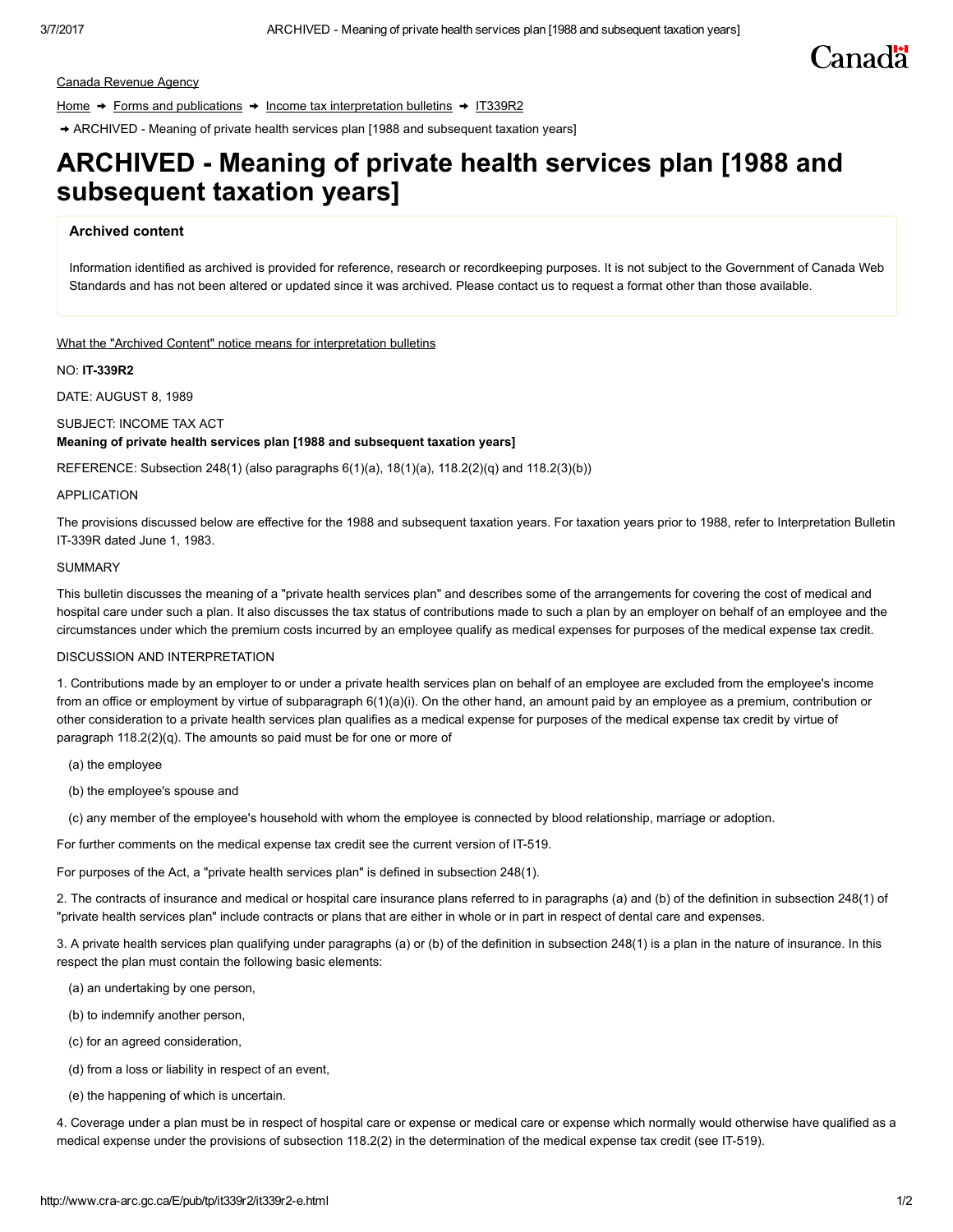# Canadä

Canada [Revenue](http://www.cra-arc.gc.ca/menu-eng.html) Agency

[Home](http://www.cra-arc.gc.ca/menu-eng.html)  $\rightarrow$  Forms and [publications](http://www.cra-arc.gc.ca/formspubs/menu-eng.html)  $\rightarrow$  Income tax [interpretation](http://www.cra-arc.gc.ca/menu/ITSC-eng.html) bulletins  $\rightarrow$  [IT339R2](http://www.cra-arc.gc.ca/E/pub/tp/it339r2/README.html)

→ ARCHIVED - Meaning of private health services plan [1988 and subsequent taxation years]

## ARCHIVED Meaning of private health services plan [1988 and subsequent taxation years]

### Archived content

Information identified as archived is provided for reference, research or recordkeeping purposes. It is not subject to the Government of Canada Web Standards and has not been altered or updated since it was archived. Please contact us to request a format other than those available.

#### What the "Archived Content" notice means for [interpretation](http://www.cra-arc.gc.ca/menu/rchvt-eng.html) bulletins

#### **NO: IT-339R2**

DATE: AUGUST 8, 1989

#### SUBJECT: INCOME TAX ACT

#### Meaning of private health services plan [1988 and subsequent taxation years]

REFERENCE: Subsection 248(1) (also paragraphs  $6(1)(a)$ ,  $18(1)(a)$ ,  $118.2(2)(q)$  and  $118.2(3)(b)$ )

#### APPLICATION

The provisions discussed below are effective for the 1988 and subsequent taxation years. For taxation years prior to 1988, refer to Interpretation Bulletin IT339R dated June 1, 1983.

#### **SUMMARY**

This bulletin discusses the meaning of a "private health services plan" and describes some of the arrangements for covering the cost of medical and hospital care under such a plan. It also discusses the tax status of contributions made to such a plan by an employer on behalf of an employee and the circumstances under which the premium costs incurred by an employee qualify as medical expenses for purposes of the medical expense tax credit.

#### DISCUSSION AND INTERPRETATION

1. Contributions made by an employer to or under a private health services plan on behalf of an employee are excluded from the employee's income from an office or employment by virtue of subparagraph 6(1)(a)(i). On the other hand, an amount paid by an employee as a premium, contribution or other consideration to a private health services plan qualifies as a medical expense for purposes of the medical expense tax credit by virtue of paragraph 118.2(2)(q). The amounts so paid must be for one or more of

- (a) the employee
- (b) the employee's spouse and
- (c) any member of the employee's household with whom the employee is connected by blood relationship, marriage or adoption.

For further comments on the medical expense tax credit see the current version of IT-519.

For purposes of the Act, a "private health services plan" is defined in subsection 248(1).

2. The contracts of insurance and medical or hospital care insurance plans referred to in paragraphs (a) and (b) of the definition in subsection 248(1) of "private health services plan" include contracts or plans that are either in whole or in part in respect of dental care and expenses.

3. A private health services plan qualifying under paragraphs (a) or (b) of the definition in subsection 248(1) is a plan in the nature of insurance. In this respect the plan must contain the following basic elements:

- (a) an undertaking by one person,
- (b) to indemnify another person,
- (c) for an agreed consideration,
- (d) from a loss or liability in respect of an event,
- (e) the happening of which is uncertain.

4. Coverage under a plan must be in respect of hospital care or expense or medical care or expense which normally would otherwise have qualified as a medical expense under the provisions of subsection 118.2(2) in the determination of the medical expense tax credit (see IT-519).